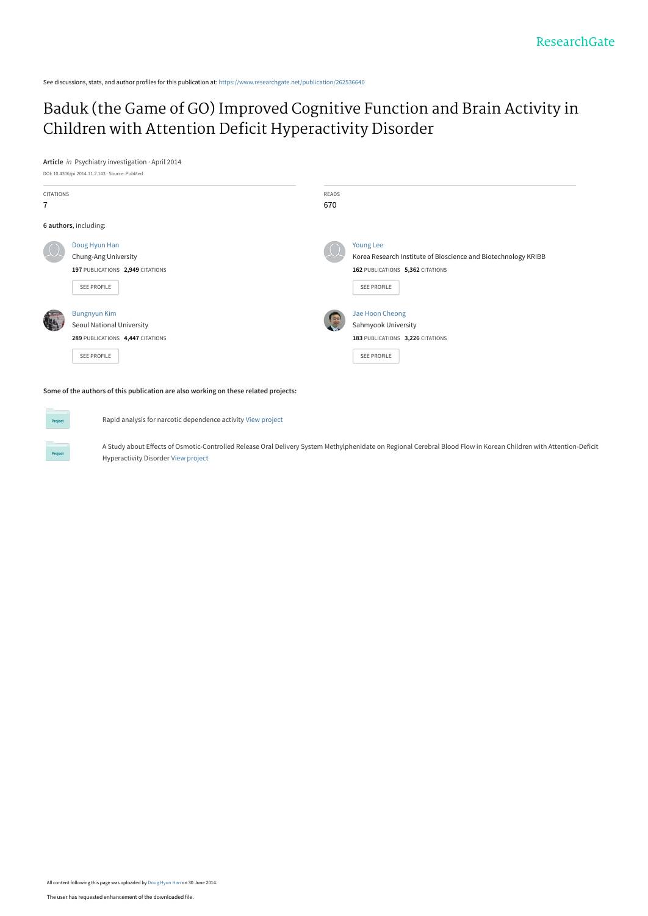See discussions, stats, and author profiles for this publication at: [https://www.researchgate.net/publication/262536640](https://www.researchgate.net/publication/262536640_Baduk_the_Game_of_GO_Improved_Cognitive_Function_and_Brain_Activity_in_Children_with_Attention_Deficit_Hyperactivity_Disorder?enrichId=rgreq-b84d4067fb31aa2b1ab30edf565de80f-XXX&enrichSource=Y292ZXJQYWdlOzI2MjUzNjY0MDtBUzoxMTM4OTU3MzM3MzEzMjhAMTQwNDE2NjI2NzYzNw%3D%3D&el=1_x_2&_esc=publicationCoverPdf)

## [Baduk \(the Game of GO\) Improved Cognitive Function and Brain Activity in](https://www.researchgate.net/publication/262536640_Baduk_the_Game_of_GO_Improved_Cognitive_Function_and_Brain_Activity_in_Children_with_Attention_Deficit_Hyperactivity_Disorder?enrichId=rgreq-b84d4067fb31aa2b1ab30edf565de80f-XXX&enrichSource=Y292ZXJQYWdlOzI2MjUzNjY0MDtBUzoxMTM4OTU3MzM3MzEzMjhAMTQwNDE2NjI2NzYzNw%3D%3D&el=1_x_3&_esc=publicationCoverPdf) Children with Attention Deficit Hyperactivity Disorder

**Article** in Psychiatry investigation · April 2014



**Some of the authors of this publication are also working on these related projects:**

Rapid analysis for narcotic dependence activity [View project](https://www.researchgate.net/project/Rapid-analysis-for-narcotic-dependence-activity?enrichId=rgreq-b84d4067fb31aa2b1ab30edf565de80f-XXX&enrichSource=Y292ZXJQYWdlOzI2MjUzNjY0MDtBUzoxMTM4OTU3MzM3MzEzMjhAMTQwNDE2NjI2NzYzNw%3D%3D&el=1_x_9&_esc=publicationCoverPdf)

A Study about Effects of Osmotic-Controlled Release Oral Delivery System Methylphenidate on Regional Cerebral Blood Flow in Korean Children with Attention-Deficit Hyperactivity Disorder [View project](https://www.researchgate.net/project/A-Study-about-Effects-of-Osmotic-Controlled-Release-Oral-Delivery-System-Methylphenidate-on-Regional-Cerebral-Blood-Flow-in-Korean-Children-with-Attention-Deficit-Hyperactivity-Disorder?enrichId=rgreq-b84d4067fb31aa2b1ab30edf565de80f-XXX&enrichSource=Y292ZXJQYWdlOzI2MjUzNjY0MDtBUzoxMTM4OTU3MzM3MzEzMjhAMTQwNDE2NjI2NzYzNw%3D%3D&el=1_x_9&_esc=publicationCoverPdf)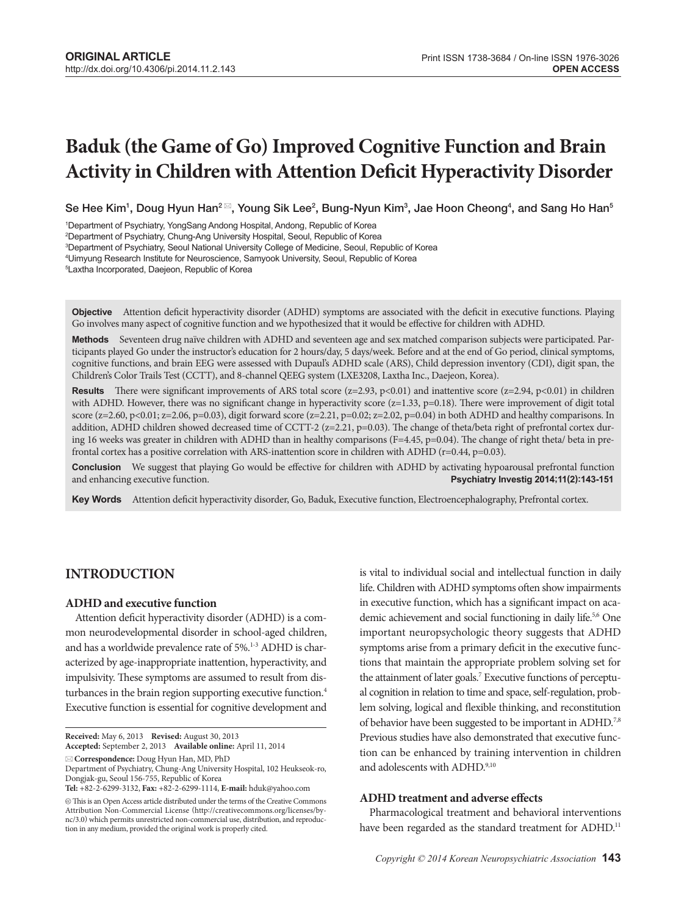# **Baduk (the Game of Go) Improved Cognitive Function and Brain Activity in Children with Attention Deficit Hyperactivity Disorder**

Se Hee Kim<sup>1</sup>, Doug Hyun Han $^2$ ⊠, Young Sik Lee $^2$ , Bung-Nyun Kim $^3$ , Jae Hoon Cheong $^4$ , and Sang Ho Han $^6$ 

1 Department of Psychiatry, YongSang Andong Hospital, Andong, Republic of Korea

2 Department of Psychiatry, Chung-Ang University Hospital, Seoul, Republic of Korea

3 Department of Psychiatry, Seoul National University College of Medicine, Seoul, Republic of Korea

4 Uimyung Research Institute for Neuroscience, Samyook University, Seoul, Republic of Korea

5 Laxtha Incorporated, Daejeon, Republic of Korea

**Objective** Attention deficit hyperactivity disorder (ADHD) symptoms are associated with the deficit in executive functions. Playing Go involves many aspect of cognitive function and we hypothesized that it would be effective for children with ADHD.

Methods Seventeen drug naïve children with ADHD and seventeen age and sex matched comparison subjects were participated. Participants played Go under the instructor's education for 2 hours/day, 5 days/week. Before and at the end of Go period, clinical symptoms, cognitive functions, and brain EEG were assessed with Dupaul's ADHD scale (ARS), Child depression inventory (CDI), digit span, the Children's Color Trails Test (CCTT), and 8-channel QEEG system (LXE3208, Laxtha Inc., Daejeon, Korea).

**Results** There were significant improvements of ARS total score ( $z=2.93$ ,  $p<0.01$ ) and inattentive score ( $z=2.94$ ,  $p<0.01$ ) in children with ADHD. However, there was no significant change in hyperactivity score (z=1.33, p=0.18). There were improvement of digit total score (z=2.60, p<0.01; z=2.06, p=0.03), digit forward score (z=2.21, p=0.02; z=2.02, p=0.04) in both ADHD and healthy comparisons. In addition, ADHD children showed decreased time of CCTT-2 (z=2.21, p=0.03). The change of theta/beta right of prefrontal cortex during 16 weeks was greater in children with ADHD than in healthy comparisons (F=4.45, p=0.04). The change of right theta/ beta in prefrontal cortex has a positive correlation with ARS-inattention score in children with ADHD ( $r=0.44$ ,  $p=0.03$ ).

**Conclusion** We suggest that playing Go would be effective for children with ADHD by activating hypoarousal prefrontal function and enhancing executive function. **Properties 2014;11(2):143-151** and enhancing executive function. **Psychiatry Investig 2014;11(2):143-151**

Key Words Attention deficit hyperactivity disorder, Go, Baduk, Executive function, Electroencephalography, Prefrontal cortex.

## **INTRODUCTION**

#### **ADHD and executive function**

Attention deficit hyperactivity disorder (ADHD) is a common neurodevelopmental disorder in school-aged children, and has a worldwide prevalence rate of 5%.<sup>1-3</sup> ADHD is characterized by age-inappropriate inattention, hyperactivity, and impulsivity. These symptoms are assumed to result from disturbances in the brain region supporting executive function.<sup>4</sup> Executive function is essential for cognitive development and

**Received:** May 6, 2013 **Revised:** August 30, 2013

**Accepted:** September 2, 2013 **Available online:** April 11, 2014

is vital to individual social and intellectual function in daily life. Children with ADHD symptoms often show impairments in executive function, which has a significant impact on academic achievement and social functioning in daily life.<sup>5,6</sup> One important neuropsychologic theory suggests that ADHD symptoms arise from a primary deficit in the executive functions that maintain the appropriate problem solving set for the attainment of later goals.<sup>7</sup> Executive functions of perceptual cognition in relation to time and space, self-regulation, problem solving, logical and flexible thinking, and reconstitution of behavior have been suggested to be important in ADHD.7,8 Previous studies have also demonstrated that executive function can be enhanced by training intervention in children and adolescents with ADHD.9,10

## **ADHD treatment and adverse effects**

Pharmacological treatment and behavioral interventions have been regarded as the standard treatment for ADHD.<sup>11</sup>

**Correspondence:** Doug Hyun Han, MD, PhD Department of Psychiatry, Chung-Ang University Hospital, 102 Heukseok-ro,

Dongjak-gu, Seoul 156-755, Republic of Korea

**Tel:** +82-2-6299-3132, **Fax:** +82-2-6299-1114, **E-mail:** hduk@yahoo.com

 $\circledR$  This is an Open Access article distributed under the terms of the Creative Commons Attribution Non-Commercial License (http://creativecommons.org/licenses/bync/3.0) which permits unrestricted non-commercial use, distribution, and reproduction in any medium, provided the original work is properly cited.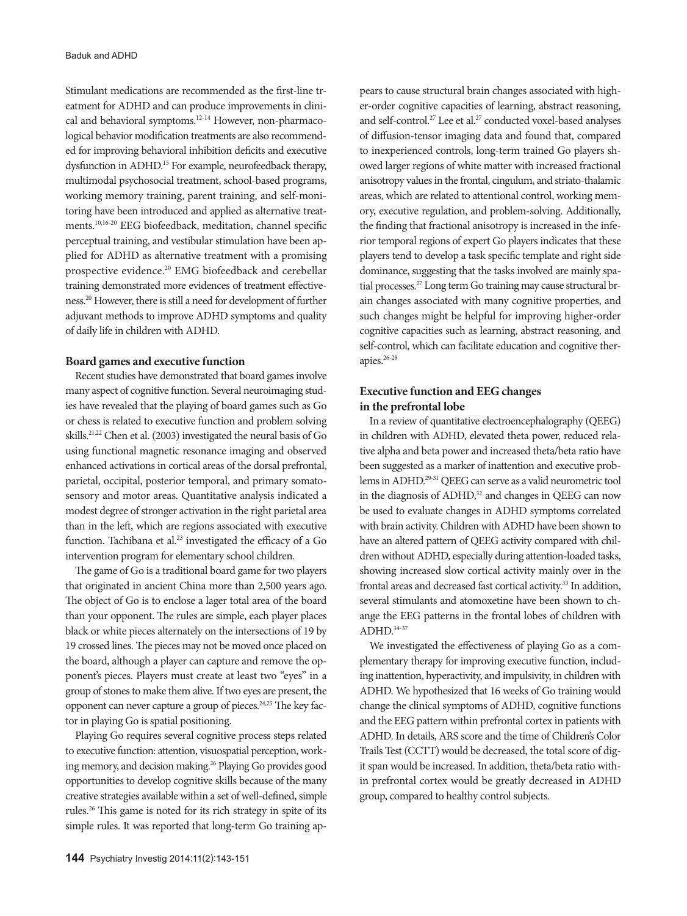Stimulant medications are recommended as the first-line treatment for ADHD and can produce improvements in clinical and behavioral symptoms.12-14 However, non-pharmacological behavior modification treatments are also recommended for improving behavioral inhibition deficits and executive dysfunction in ADHD.15 For example, neurofeedback therapy, multimodal psychosocial treatment, school-based programs, working memory training, parent training, and self-monitoring have been introduced and applied as alternative treatments.10,16-20 EEG biofeedback, meditation, channel specific perceptual training, and vestibular stimulation have been applied for ADHD as alternative treatment with a promising prospective evidence.20 EMG biofeedback and cerebellar training demonstrated more evidences of treatment effectiveness.20 However, there is still a need for development of further adjuvant methods to improve ADHD symptoms and quality of daily life in children with ADHD.

#### **Board games and executive function**

Recent studies have demonstrated that board games involve many aspect of cognitive function. Several neuroimaging studies have revealed that the playing of board games such as Go or chess is related to executive function and problem solving skills.21,22 Chen et al. (2003) investigated the neural basis of Go using functional magnetic resonance imaging and observed enhanced activations in cortical areas of the dorsal prefrontal, parietal, occipital, posterior temporal, and primary somatosensory and motor areas. Quantitative analysis indicated a modest degree of stronger activation in the right parietal area than in the left, which are regions associated with executive function. Tachibana et al.<sup>23</sup> investigated the efficacy of a Go intervention program for elementary school children.

The game of Go is a traditional board game for two players that originated in ancient China more than 2,500 years ago. The object of Go is to enclose a lager total area of the board than your opponent. The rules are simple, each player places black or white pieces alternately on the intersections of 19 by 19 crossed lines. The pieces may not be moved once placed on the board, although a player can capture and remove the opponent's pieces. Players must create at least two "eyes" in a group of stones to make them alive. If two eyes are present, the opponent can never capture a group of pieces. $24,25$  The key factor in playing Go is spatial positioning.

Playing Go requires several cognitive process steps related to executive function: attention, visuospatial perception, working memory, and decision making.26 Playing Go provides good opportunities to develop cognitive skills because of the many creative strategies available within a set of well-defined, simple rules.26 This game is noted for its rich strategy in spite of its simple rules. It was reported that long-term Go training appears to cause structural brain changes associated with higher-order cognitive capacities of learning, abstract reasoning, and self-control.<sup>27</sup> Lee et al.<sup>27</sup> conducted voxel-based analyses of diffusion-tensor imaging data and found that, compared to inexperienced controls, long-term trained Go players showed larger regions of white matter with increased fractional anisotropy values in the frontal, cingulum, and striato-thalamic areas, which are related to attentional control, working memory, executive regulation, and problem-solving. Additionally, the finding that fractional anisotropy is increased in the inferior temporal regions of expert Go players indicates that these players tend to develop a task specific template and right side dominance, suggesting that the tasks involved are mainly spatial processes.<sup>27</sup> Long term Go training may cause structural brain changes associated with many cognitive properties, and such changes might be helpful for improving higher-order cognitive capacities such as learning, abstract reasoning, and self-control, which can facilitate education and cognitive therapies.26-28

## **Executive function and EEG changes in the prefrontal lobe**

In a review of quantitative electroencephalography (QEEG) in children with ADHD, elevated theta power, reduced relative alpha and beta power and increased theta/beta ratio have been suggested as a marker of inattention and executive problems in ADHD.<sup>29-31</sup> QEEG can serve as a valid neurometric tool in the diagnosis of ADHD,<sup>32</sup> and changes in QEEG can now be used to evaluate changes in ADHD symptoms correlated with brain activity. Children with ADHD have been shown to have an altered pattern of QEEG activity compared with children without ADHD, especially during attention-loaded tasks, showing increased slow cortical activity mainly over in the frontal areas and decreased fast cortical activity.<sup>33</sup> In addition, several stimulants and atomoxetine have been shown to change the EEG patterns in the frontal lobes of children with ADHD.34-37

We investigated the effectiveness of playing Go as a complementary therapy for improving executive function, including inattention, hyperactivity, and impulsivity, in children with ADHD. We hypothesized that 16 weeks of Go training would change the clinical symptoms of ADHD, cognitive functions and the EEG pattern within prefrontal cortex in patients with ADHD. In details, ARS score and the time of Children's Color Trails Test (CCTT) would be decreased, the total score of digit span would be increased. In addition, theta/beta ratio within prefrontal cortex would be greatly decreased in ADHD group, compared to healthy control subjects.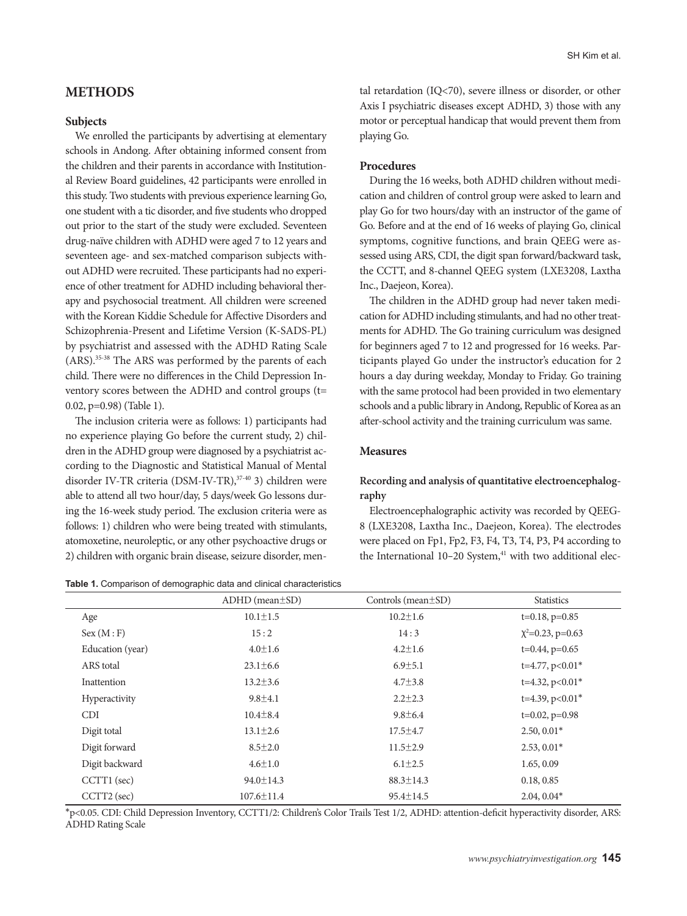## **METHODS**

#### **Subjects**

We enrolled the participants by advertising at elementary schools in Andong. After obtaining informed consent from the children and their parents in accordance with Institutional Review Board guidelines, 42 participants were enrolled in this study. Two students with previous experience learning Go, one student with a tic disorder, and five students who dropped out prior to the start of the study were excluded. Seventeen drug-naïve children with ADHD were aged 7 to 12 years and seventeen age- and sex-matched comparison subjects without ADHD were recruited. These participants had no experience of other treatment for ADHD including behavioral therapy and psychosocial treatment. All children were screened with the Korean Kiddie Schedule for Affective Disorders and Schizophrenia-Present and Lifetime Version (K-SADS-PL) by psychiatrist and assessed with the ADHD Rating Scale (ARS).35-38 The ARS was performed by the parents of each child. There were no differences in the Child Depression Inventory scores between the ADHD and control groups (t= 0.02, p=0.98) (Table 1).

The inclusion criteria were as follows: 1) participants had no experience playing Go before the current study, 2) children in the ADHD group were diagnosed by a psychiatrist according to the Diagnostic and Statistical Manual of Mental disorder IV-TR criteria (DSM-IV-TR),<sup>37-40</sup> 3) children were able to attend all two hour/day, 5 days/week Go lessons during the 16-week study period. The exclusion criteria were as follows: 1) children who were being treated with stimulants, atomoxetine, neuroleptic, or any other psychoactive drugs or 2) children with organic brain disease, seizure disorder, men-

**Table 1.** Comparison of demographic data and clinical characteristics

tal retardation (IQ<70), severe illness or disorder, or other Axis I psychiatric diseases except ADHD, 3) those with any motor or perceptual handicap that would prevent them from playing Go.

#### **Procedures**

During the 16 weeks, both ADHD children without medication and children of control group were asked to learn and play Go for two hours/day with an instructor of the game of Go. Before and at the end of 16 weeks of playing Go, clinical symptoms, cognitive functions, and brain QEEG were assessed using ARS, CDI, the digit span forward/backward task, the CCTT, and 8-channel QEEG system (LXE3208, Laxtha Inc., Daejeon, Korea).

The children in the ADHD group had never taken medication for ADHD including stimulants, and had no other treatments for ADHD. The Go training curriculum was designed for beginners aged 7 to 12 and progressed for 16 weeks. Participants played Go under the instructor's education for 2 hours a day during weekday, Monday to Friday. Go training with the same protocol had been provided in two elementary schools and a public library in Andong, Republic of Korea as an after-school activity and the training curriculum was same.

#### **Measures**

## **Recording and analysis of quantitative electroencephalography**

Electroencephalographic activity was recorded by QEEG-8 (LXE3208, Laxtha Inc., Daejeon, Korea). The electrodes were placed on Fp1, Fp2, F3, F4, T3, T4, P3, P4 according to the International  $10-20$  System, $41$  with two additional elec-

|                  | $ADHD$ (mean $\pm SD$ ) | Controls (mean $\pm$ SD) | <b>Statistics</b>      |
|------------------|-------------------------|--------------------------|------------------------|
| Age              | $10.1 \pm 1.5$          | $10.2 \pm 1.6$           | $t=0.18$ , $p=0.85$    |
| Sex (M : F)      | 15:2                    | 14:3                     | $\chi^2$ =0.23, p=0.63 |
| Education (year) | $4.0 \pm 1.6$           | $4.2 \pm 1.6$            | $t=0.44$ , $p=0.65$    |
| ARS total        | $23.1 \pm 6.6$          | $6.9{\pm}5.1$            | $t=4.77$ , $p<0.01*$   |
| Inattention      | $13.2 \pm 3.6$          | $4.7 \pm 3.8$            | $t=4.32$ , $p<0.01*$   |
| Hyperactivity    | $9.8 \pm 4.1$           | $2.2 \pm 2.3$            | $t=4.39$ , $p<0.01*$   |
| <b>CDI</b>       | $10.4 \pm 8.4$          | $9.8 \pm 6.4$            | $t=0.02$ , $p=0.98$    |
| Digit total      | $13.1 \pm 2.6$          | $17.5 \pm 4.7$           | $2.50, 0.01*$          |
| Digit forward    | $8.5 \pm 2.0$           | $11.5 \pm 2.9$           | $2.53, 0.01*$          |
| Digit backward   | $4.6 \pm 1.0$           | $6.1 \pm 2.5$            | 1.65, 0.09             |
| CCTT1 (sec)      | $94.0 \pm 14.3$         | $88.3 \pm 14.3$          | 0.18, 0.85             |
| CCTT2 (sec)      | $107.6 \pm 11.4$        | $95.4 \pm 14.5$          | $2.04, 0.04*$          |

\*p<0.05. CDI: Child Depression Inventory, CCTT1/2: Children's Color Trails Test 1/2, ADHD: attention-deficit hyperactivity disorder, ARS: ADHD Rating Scale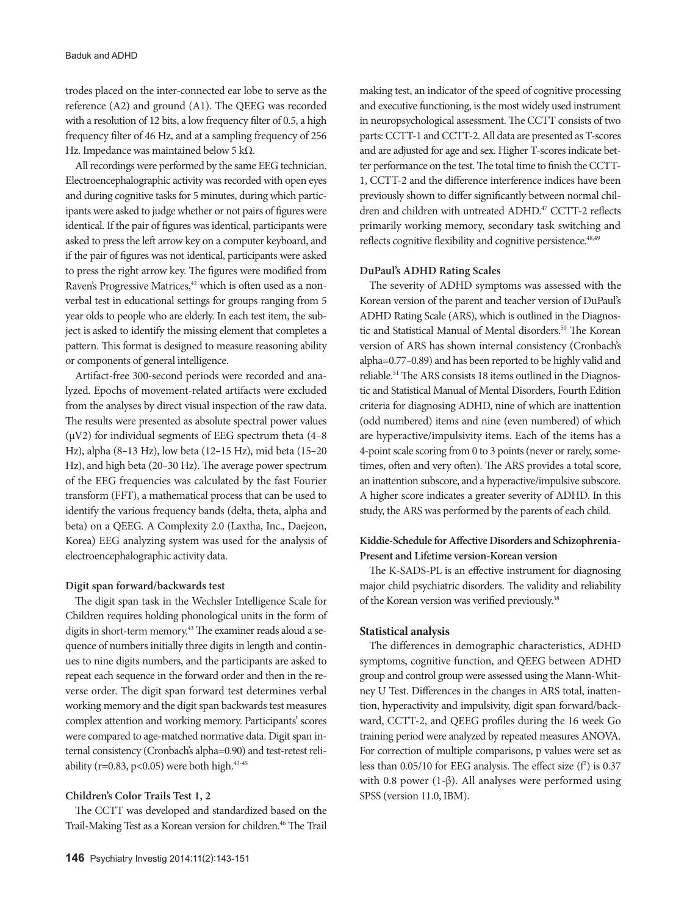trodes placed on the inter-connected ear lobe to serve as the reference (A2) and ground (A1). The QEEG was recorded with a resolution of 12 bits, a low frequency filter of 0.5, a high frequency filter of 46 Hz, and at a sampling frequency of 256 Hz. Impedance was maintained below 5 kΩ.

All recordings were performed by the same EEG technician. Electroencephalographic activity was recorded with open eyes and during cognitive tasks for 5 minutes, during which participants were asked to judge whether or not pairs of figures were identical. If the pair of figures was identical, participants were asked to press the left arrow key on a computer keyboard, and if the pair of figures was not identical, participants were asked to press the right arrow key. The figures were modified from Raven's Progressive Matrices,<sup>42</sup> which is often used as a nonverbal test in educational settings for groups ranging from 5 year olds to people who are elderly. In each test item, the subject is asked to identify the missing element that completes a pattern. This format is designed to measure reasoning ability or components of general intelligence.

Artifact-free 300-second periods were recorded and analyzed. Epochs of movement-related artifacts were excluded from the analyses by direct visual inspection of the raw data. The results were presented as absolute spectral power values ( $\mu$ V2) for individual segments of EEG spectrum theta (4–8) Hz), alpha (8–13 Hz), low beta (12–15 Hz), mid beta (15–20 Hz), and high beta (20–30 Hz). The average power spectrum of the EEG frequencies was calculated by the fast Fourier transform (FFT), a mathematical process that can be used to identify the various frequency bands (delta, theta, alpha and beta) on a QEEG. A Complexity 2.0 (Laxtha, Inc., Daejeon, Korea) EEG analyzing system was used for the analysis of electroencephalographic activity data.

#### **Digit span forward/backwards test**

The digit span task in the Wechsler Intelligence Scale for Children requires holding phonological units in the form of digits in short-term memory.<sup>43</sup> The examiner reads aloud a sequence of numbers initially three digits in length and continues to nine digits numbers, and the participants are asked to repeat each sequence in the forward order and then in the reverse order. The digit span forward test determines verbal working memory and the digit span backwards test measures complex attention and working memory. Participants' scores were compared to age-matched normative data. Digit span internal consistency (Cronbach's alpha=0.90) and test-retest reliability (r=0.83, p<0.05) were both high. $43-45$ 

#### **Children's Color Trails Test 1, 2**

The CCTT was developed and standardized based on the Trail-Making Test as a Korean version for children.<sup>46</sup> The Trail making test, an indicator of the speed of cognitive processing and executive functioning, is the most widely used instrument in neuropsychological assessment. The CCTT consists of two parts: CCTT-1 and CCTT-2. All data are presented as T-scores and are adjusted for age and sex. Higher T-scores indicate better performance on the test. The total time to finish the CCTT-1, CCTT-2 and the difference interference indices have been previously shown to differ significantly between normal children and children with untreated ADHD.<sup>47</sup> CCTT-2 reflects primarily working memory, secondary task switching and reflects cognitive flexibility and cognitive persistence.<sup>48,49</sup>

## **DuPaul's ADHD Rating Scales**

The severity of ADHD symptoms was assessed with the Korean version of the parent and teacher version of DuPaul's ADHD Rating Scale (ARS), which is outlined in the Diagnostic and Statistical Manual of Mental disorders.<sup>50</sup> The Korean version of ARS has shown internal consistency (Cronbach's alpha=0.77–0.89) and has been reported to be highly valid and reliable.<sup>51</sup> The ARS consists 18 items outlined in the Diagnostic and Statistical Manual of Mental Disorders, Fourth Edition criteria for diagnosing ADHD, nine of which are inattention (odd numbered) items and nine (even numbered) of which are hyperactive/impulsivity items. Each of the items has a 4-point scale scoring from 0 to 3 points (never or rarely, sometimes, often and very often). The ARS provides a total score, an inattention subscore, and a hyperactive/impulsive subscore. A higher score indicates a greater severity of ADHD. In this study, the ARS was performed by the parents of each child.

## **Kiddie-Schedule for Affective Disorders and Schizophrenia-Present and Lifetime version-Korean version**

The K-SADS-PL is an effective instrument for diagnosing major child psychiatric disorders. The validity and reliability of the Korean version was verified previously.<sup>38</sup>

#### **Statistical analysis**

The differences in demographic characteristics, ADHD symptoms, cognitive function, and QEEG between ADHD group and control group were assessed using the Mann-Whitney U Test. Differences in the changes in ARS total, inattention, hyperactivity and impulsivity, digit span forward/backward, CCTT-2, and QEEG profiles during the 16 week Go training period were analyzed by repeated measures ANOVA. For correction of multiple comparisons, p values were set as less than  $0.05/10$  for EEG analysis. The effect size  $(f^2)$  is  $0.37$ with 0.8 power (1-β). All analyses were performed using SPSS (version 11.0, IBM).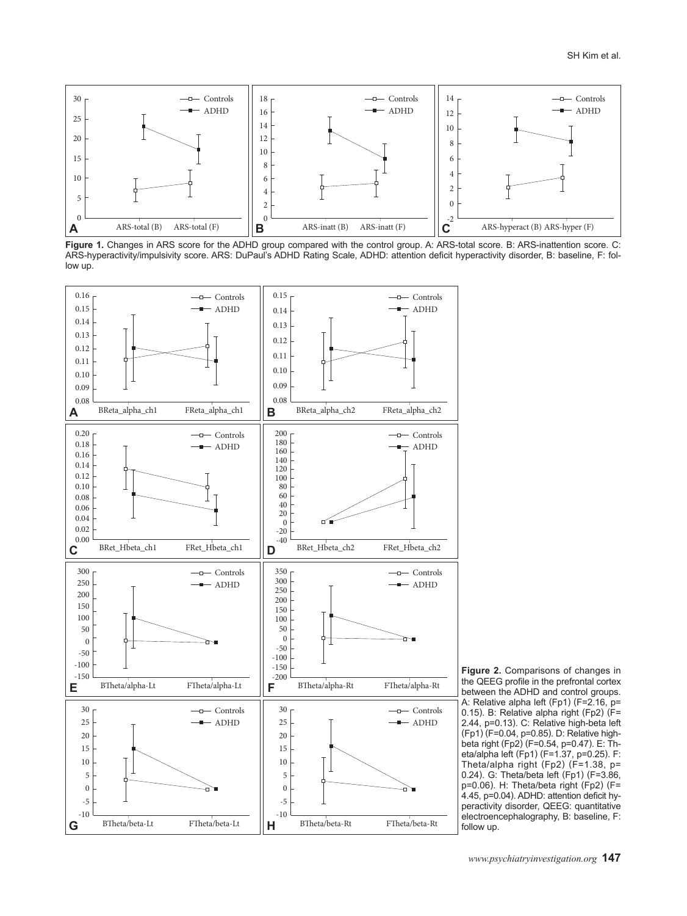

Figure 1. Changes in ARS score for the ADHD group compared with the control group. A: ARS-total score. B: ARS-inattention score. C: ARS-hyperactivity/impulsivity score. ARS: DuPaul's ADHD Rating Scale, ADHD: attention deficit hyperactivity disorder, B: baseline, F: follow up.



**Figure 2.** Comparisons of changes in the QEEG profile in the prefrontal cortex between the ADHD and control groups. A: Relative alpha left (Fp1) (F=2.16, p= 0.15). B: Relative alpha right (Fp2) (F= 2.44, p=0.13). C: Relative high-beta left (Fp1) (F=0.04, p=0.85). D: Relative highbeta right (Fp2) (F=0.54, p=0.47). E: Theta/alpha left (Fp1) (F=1.37, p=0.25). F: Theta/alpha right (Fp2) (F=1.38, p= 0.24). G: Theta/beta left (Fp1) (F=3.86, p=0.06). H: Theta/beta right (Fp2) (F= 4.45, p=0.04). ADHD: attention deficit hyperactivity disorder, QEEG: quantitative electroencephalography, B: baseline, F: follow up.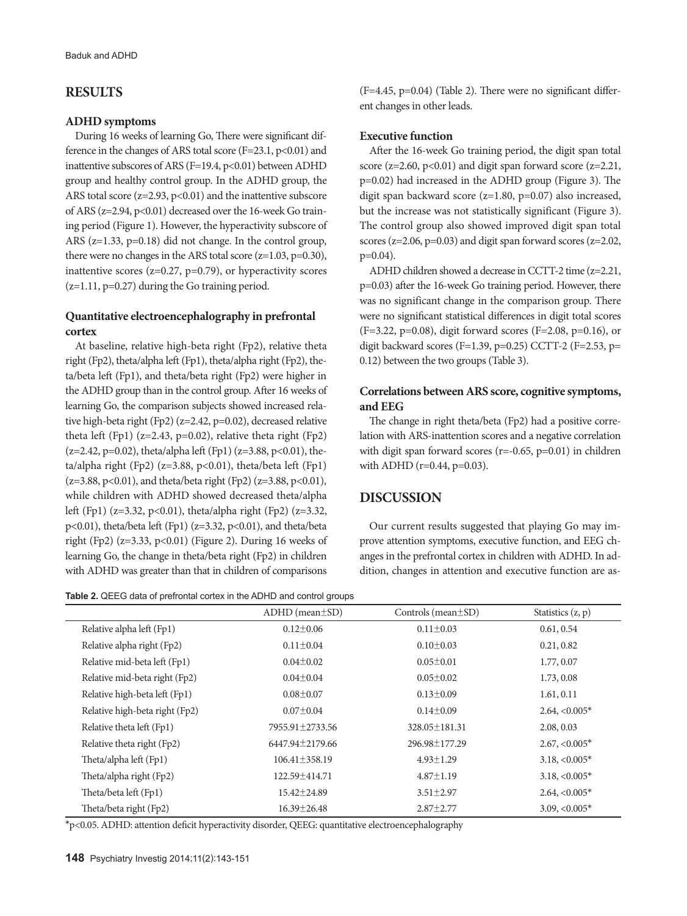## **RESULTS**

#### **ADHD symptoms**

During 16 weeks of learning Go, There were significant difference in the changes of ARS total score (F=23.1,  $p<0.01$ ) and inattentive subscores of ARS (F=19.4, p<0.01) between ADHD group and healthy control group. In the ADHD group, the ARS total score  $(z=2.93, p<0.01)$  and the inattentive subscore of ARS ( $z=2.94$ ,  $p<0.01$ ) decreased over the 16-week Go training period (Figure 1). However, the hyperactivity subscore of ARS (z=1.33, p=0.18) did not change. In the control group, there were no changes in the ARS total score  $(z=1.03, p=0.30)$ , inattentive scores ( $z=0.27$ ,  $p=0.79$ ), or hyperactivity scores (z=1.11, p=0.27) during the Go training period.

## **Quantitative electroencephalography in prefrontal cortex**

At baseline, relative high-beta right (Fp2), relative theta right (Fp2), theta/alpha left (Fp1), theta/alpha right (Fp2), theta/beta left (Fp1), and theta/beta right (Fp2) were higher in the ADHD group than in the control group. After 16 weeks of learning Go, the comparison subjects showed increased relative high-beta right (Fp2) (z=2.42, p=0.02), decreased relative theta left (Fp1) ( $z=2.43$ ,  $p=0.02$ ), relative theta right (Fp2)  $(z=2.42, p=0.02)$ , theta/alpha left (Fp1) ( $z=3.88, p<0.01$ ), theta/alpha right (Fp2) (z=3.88, p<0.01), theta/beta left (Fp1) (z=3.88, p<0.01), and theta/beta right (Fp2) (z=3.88, p<0.01), while children with ADHD showed decreased theta/alpha left (Fp1) (z=3.32, p<0.01), theta/alpha right (Fp2) (z=3.32, p<0.01), theta/beta left (Fp1) (z=3.32, p<0.01), and theta/beta right (Fp2) (z=3.33, p<0.01) (Figure 2). During 16 weeks of learning Go, the change in theta/beta right (Fp2) in children with ADHD was greater than that in children of comparisons

**Table 2.** QEEG data of prefrontal cortex in the ADHD and control groups

(F=4.45, p=0.04) (Table 2). There were no significant different changes in other leads.

## **Executive function**

After the 16-week Go training period, the digit span total score ( $z=2.60$ ,  $p<0.01$ ) and digit span forward score ( $z=2.21$ , p=0.02) had increased in the ADHD group (Figure 3). The digit span backward score (z=1.80, p=0.07) also increased, but the increase was not statistically significant (Figure 3). The control group also showed improved digit span total scores (z=2.06, p=0.03) and digit span forward scores (z=2.02, p=0.04).

ADHD children showed a decrease in CCTT-2 time (z=2.21, p=0.03) after the 16-week Go training period. However, there was no significant change in the comparison group. There were no significant statistical differences in digit total scores (F=3.22, p=0.08), digit forward scores (F=2.08, p=0.16), or digit backward scores (F=1.39, p=0.25) CCTT-2 (F=2.53, p= 0.12) between the two groups (Table 3).

## **Correlations between ARS score, cognitive symptoms, and EEG**

The change in right theta/beta (Fp2) had a positive correlation with ARS-inattention scores and a negative correlation with digit span forward scores (r=-0.65, p=0.01) in children with ADHD (r=0.44, p=0.03).

## **DISCUSSION**

Our current results suggested that playing Go may improve attention symptoms, executive function, and EEG changes in the prefrontal cortex in children with ADHD. In addition, changes in attention and executive function are as-

|                                | $ADHD$ (mean $\pm SD$ ) | Controls (mean $\pm$ SD) | Statistics $(z, p)$ |
|--------------------------------|-------------------------|--------------------------|---------------------|
| Relative alpha left (Fp1)      | $0.12 \pm 0.06$         | $0.11 \pm 0.03$          | 0.61, 0.54          |
| Relative alpha right (Fp2)     | $0.11 \pm 0.04$         | $0.10 \pm 0.03$          | 0.21, 0.82          |
| Relative mid-beta left (Fp1)   | $0.04 \pm 0.02$         | $0.05 \pm 0.01$          | 1.77, 0.07          |
| Relative mid-beta right (Fp2)  | $0.04 \pm 0.04$         | $0.05 \pm 0.02$          | 1.73, 0.08          |
| Relative high-beta left (Fp1)  | $0.08 \pm 0.07$         | $0.13 \pm 0.09$          | 1.61, 0.11          |
| Relative high-beta right (Fp2) | $0.07 \pm 0.04$         | $0.14 \pm 0.09$          | $2.64, <0.005*$     |
| Relative theta left (Fp1)      | 7955.91±2733.56         | 328.05 ± 181.31          | 2.08, 0.03          |
| Relative theta right (Fp2)     | 6447.94±2179.66         | 296.98±177.29            | $2.67, <0.005*$     |
| Theta/alpha left (Fp1)         | $106.41 \pm 358.19$     | $4.93 \pm 1.29$          | $3.18, <0.005*$     |
| Theta/alpha right (Fp2)        | 122.59±414.71           | $4.87 \pm 1.19$          | $3.18, <0.005*$     |
| Theta/beta left (Fp1)          | $15.42 \pm 24.89$       | $3.51 \pm 2.97$          | $2.64, <0.005*$     |
| Theta/beta right (Fp2)         | $16.39 \pm 26.48$       | $2.87 \pm 2.77$          | $3.09, <0.005*$     |

\*p<0.05. ADHD: attention deficit hyperactivity disorder, QEEG: quantitative electroencephalography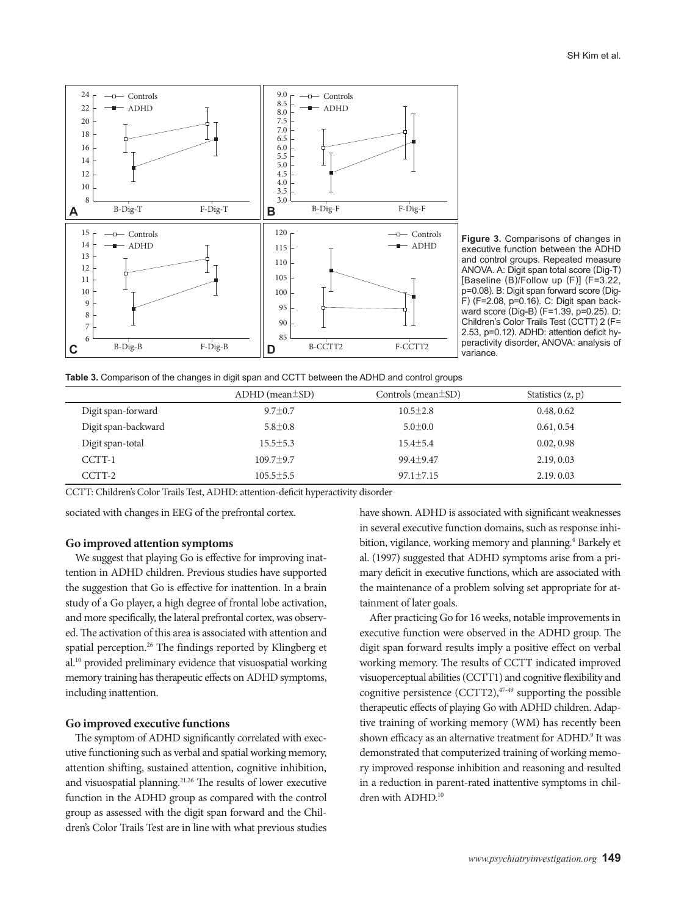

**Figure 3.** Comparisons of changes in executive function between the ADHD and control groups. Repeated measure ANOVA. A: Digit span total score (Dig-T) [Baseline (B)/Follow up (F)] (F=3.22, p=0.08). B: Digit span forward score (Dig-F) (F=2.08, p=0.16). C: Digit span backward score (Dig-B) (F=1.39, p=0.25). D: Children's Color Trails Test (CCTT) 2 (F= 2.53, p=0.12). ADHD: attention deficit hyperactivity disorder, ANOVA: analysis of variance.

|  |  |  |  | Table 3. Comparison of the changes in digit span and CCTT between the ADHD and control groups |  |  |
|--|--|--|--|-----------------------------------------------------------------------------------------------|--|--|
|--|--|--|--|-----------------------------------------------------------------------------------------------|--|--|

|                     | $ADHD$ (mean $\pm SD$ ) | Controls (mean $\pm$ SD) | Statistics $(z, p)$ |
|---------------------|-------------------------|--------------------------|---------------------|
| Digit span-forward  | $9.7 \pm 0.7$           | $10.5 \pm 2.8$           | 0.48, 0.62          |
| Digit span-backward | $5.8 \pm 0.8$           | $5.0 \pm 0.0$            | 0.61, 0.54          |
| Digit span-total    | $15.5 \pm 5.3$          | $15.4 \pm 5.4$           | 0.02, 0.98          |
| CCTT-1              | $109.7 + 9.7$           | $99.4 + 9.47$            | 2.19, 0.03          |
| CCTT-2              | $105.5 \pm 5.5$         | $97.1 \pm 7.15$          | 2.19.0.03           |

CCTT: Children's Color Trails Test, ADHD: attention-deficit hyperactivity disorder

sociated with changes in EEG of the prefrontal cortex.

#### **Go improved attention symptoms**

We suggest that playing Go is effective for improving inattention in ADHD children. Previous studies have supported the suggestion that Go is effective for inattention. In a brain study of a Go player, a high degree of frontal lobe activation, and more specifically, the lateral prefrontal cortex, was observed. The activation of this area is associated with attention and spatial perception.<sup>26</sup> The findings reported by Klingberg et al.10 provided preliminary evidence that visuospatial working memory training has therapeutic effects on ADHD symptoms, including inattention.

#### **Go improved executive functions**

The symptom of ADHD significantly correlated with executive functioning such as verbal and spatial working memory, attention shifting, sustained attention, cognitive inhibition, and visuospatial planning.<sup>21,26</sup> The results of lower executive function in the ADHD group as compared with the control group as assessed with the digit span forward and the Children's Color Trails Test are in line with what previous studies

have shown. ADHD is associated with significant weaknesses in several executive function domains, such as response inhibition, vigilance, working memory and planning.<sup>4</sup> Barkely et al. (1997) suggested that ADHD symptoms arise from a primary deficit in executive functions, which are associated with the maintenance of a problem solving set appropriate for attainment of later goals.

After practicing Go for 16 weeks, notable improvements in executive function were observed in the ADHD group. The digit span forward results imply a positive effect on verbal working memory. The results of CCTT indicated improved visuoperceptual abilities (CCTT1) and cognitive flexibility and cognitive persistence  $(CCTT2),<sup>47-49</sup>$  supporting the possible therapeutic effects of playing Go with ADHD children. Adaptive training of working memory (WM) has recently been shown efficacy as an alternative treatment for ADHD.<sup>9</sup> It was demonstrated that computerized training of working memory improved response inhibition and reasoning and resulted in a reduction in parent-rated inattentive symptoms in children with ADHD.<sup>10</sup>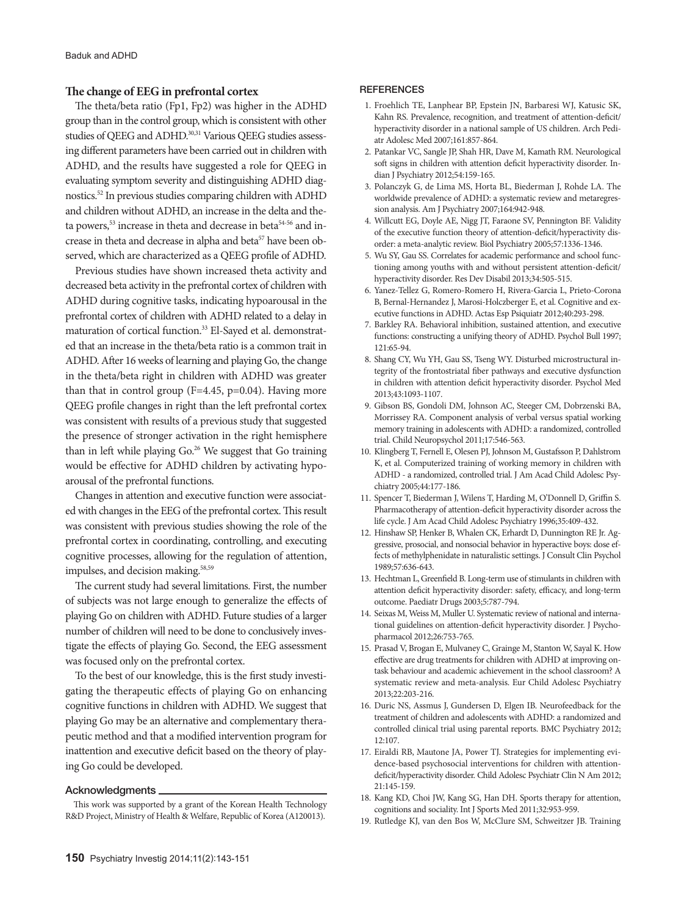## **The change of EEG in prefrontal cortex**

The theta/beta ratio (Fp1, Fp2) was higher in the ADHD group than in the control group, which is consistent with other studies of QEEG and ADHD.<sup>30,31</sup> Various QEEG studies assessing different parameters have been carried out in children with ADHD, and the results have suggested a role for QEEG in evaluating symptom severity and distinguishing ADHD diagnostics.52 In previous studies comparing children with ADHD and children without ADHD, an increase in the delta and theta powers,<sup>53</sup> increase in theta and decrease in beta<sup>54-56</sup> and increase in theta and decrease in alpha and beta<sup>57</sup> have been observed, which are characterized as a QEEG profile of ADHD.

Previous studies have shown increased theta activity and decreased beta activity in the prefrontal cortex of children with ADHD during cognitive tasks, indicating hypoarousal in the prefrontal cortex of children with ADHD related to a delay in maturation of cortical function.<sup>33</sup> El-Sayed et al. demonstrated that an increase in the theta/beta ratio is a common trait in ADHD. After 16 weeks of learning and playing Go, the change in the theta/beta right in children with ADHD was greater than that in control group ( $F=4.45$ ,  $p=0.04$ ). Having more QEEG profile changes in right than the left prefrontal cortex was consistent with results of a previous study that suggested the presence of stronger activation in the right hemisphere than in left while playing Go.<sup>26</sup> We suggest that Go training would be effective for ADHD children by activating hypoarousal of the prefrontal functions.

Changes in attention and executive function were associated with changes in the EEG of the prefrontal cortex. This result was consistent with previous studies showing the role of the prefrontal cortex in coordinating, controlling, and executing cognitive processes, allowing for the regulation of attention, impulses, and decision making.<sup>58,59</sup>

The current study had several limitations. First, the number of subjects was not large enough to generalize the effects of playing Go on children with ADHD. Future studies of a larger number of children will need to be done to conclusively investigate the effects of playing Go. Second, the EEG assessment was focused only on the prefrontal cortex.

To the best of our knowledge, this is the first study investigating the therapeutic effects of playing Go on enhancing cognitive functions in children with ADHD. We suggest that playing Go may be an alternative and complementary therapeutic method and that a modified intervention program for inattention and executive deficit based on the theory of playing Go could be developed.

#### Acknowledgments

This work was supported by a grant of the Korean Health Technology R&D Project, Ministry of Health & Welfare, Republic of Korea (A120013).

#### **REFERENCES**

- 1. Froehlich TE, Lanphear BP, Epstein JN, Barbaresi WJ, Katusic SK, Kahn RS. Prevalence, recognition, and treatment of attention-deficit/ hyperactivity disorder in a national sample of US children. Arch Pediatr Adolesc Med 2007;161:857-864.
- 2. Patankar VC, Sangle JP, Shah HR, Dave M, Kamath RM. Neurological soft signs in children with attention deficit hyperactivity disorder. Indian J Psychiatry 2012;54:159-165.
- 3. Polanczyk G, de Lima MS, Horta BL, Biederman J, Rohde LA. The worldwide prevalence of ADHD: a systematic review and metaregression analysis. Am J Psychiatry 2007;164:942-948.
- 4. Willcutt EG, Doyle AE, Nigg JT, Faraone SV, Pennington BF. Validity of the executive function theory of attention-deficit/hyperactivity disorder: a meta-analytic review. Biol Psychiatry 2005;57:1336-1346.
- 5. Wu SY, Gau SS. Correlates for academic performance and school functioning among youths with and without persistent attention-deficit/ hyperactivity disorder. Res Dev Disabil 2013;34:505-515.
- 6. Yanez-Tellez G, Romero-Romero H, Rivera-Garcia L, Prieto-Corona B, Bernal-Hernandez J, Marosi-Holczberger E, et al. Cognitive and executive functions in ADHD. Actas Esp Psiquiatr 2012;40:293-298.
- 7. Barkley RA. Behavioral inhibition, sustained attention, and executive functions: constructing a unifying theory of ADHD. Psychol Bull 1997; 121:65-94.
- 8. Shang CY, Wu YH, Gau SS, Tseng WY. Disturbed microstructural integrity of the frontostriatal fiber pathways and executive dysfunction in children with attention deficit hyperactivity disorder. Psychol Med 2013;43:1093-1107.
- 9. Gibson BS, Gondoli DM, Johnson AC, Steeger CM, Dobrzenski BA, Morrissey RA. Component analysis of verbal versus spatial working memory training in adolescents with ADHD: a randomized, controlled trial. Child Neuropsychol 2011;17:546-563.
- 10. Klingberg T, Fernell E, Olesen PJ, Johnson M, Gustafsson P, Dahlstrom K, et al. Computerized training of working memory in children with ADHD - a randomized, controlled trial. J Am Acad Child Adolesc Psychiatry 2005;44:177-186.
- 11. Spencer T, Biederman J, Wilens T, Harding M, O'Donnell D, Griffin S. Pharmacotherapy of attention-deficit hyperactivity disorder across the life cycle. J Am Acad Child Adolesc Psychiatry 1996;35:409-432.
- 12. Hinshaw SP, Henker B, Whalen CK, Erhardt D, Dunnington RE Jr. Aggressive, prosocial, and nonsocial behavior in hyperactive boys: dose effects of methylphenidate in naturalistic settings. J Consult Clin Psychol 1989;57:636-643.
- 13. Hechtman L, Greenfield B. Long-term use of stimulants in children with attention deficit hyperactivity disorder: safety, efficacy, and long-term outcome. Paediatr Drugs 2003;5:787-794.
- 14. Seixas M, Weiss M, Muller U. Systematic review of national and international guidelines on attention-deficit hyperactivity disorder. J Psychopharmacol 2012;26:753-765.
- 15. Prasad V, Brogan E, Mulvaney C, Grainge M, Stanton W, Sayal K. How effective are drug treatments for children with ADHD at improving ontask behaviour and academic achievement in the school classroom? A systematic review and meta-analysis. Eur Child Adolesc Psychiatry 2013;22:203-216.
- 16. Duric NS, Assmus J, Gundersen D, Elgen IB. Neurofeedback for the treatment of children and adolescents with ADHD: a randomized and controlled clinical trial using parental reports. BMC Psychiatry 2012; 12:107.
- 17. Eiraldi RB, Mautone JA, Power TJ. Strategies for implementing evidence-based psychosocial interventions for children with attentiondeficit/hyperactivity disorder. Child Adolesc Psychiatr Clin N Am 2012; 21:145-159.
- 18. Kang KD, Choi JW, Kang SG, Han DH. Sports therapy for attention, cognitions and sociality. Int J Sports Med 2011;32:953-959.
- 19. Rutledge KJ, van den Bos W, McClure SM, Schweitzer JB. Training